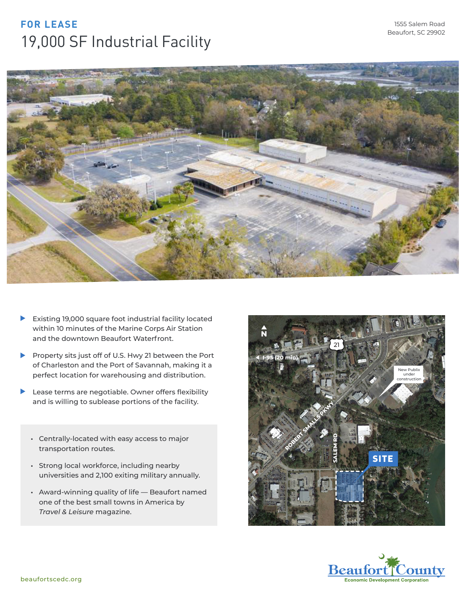## **FOR LEASE** 19,000 SF Industrial Facility



- $\blacktriangleright$ Existing 19,000 square foot industrial facility located within 10 minutes of the Marine Corps Air Station and the downtown Beaufort Waterfront.
- Property sits just off of U.S. Hwy 21 between the Port of Charleston and the Port of Savannah, making it a perfect location for warehousing and distribution.
- ▶ Lease terms are negotiable. Owner offers flexibility and is willing to sublease portions of the facility.
	- **•** Centrally-located with easy access to major transportation routes.
	- **•** Strong local workforce, including nearby universities and 2,100 exiting military annually.
	- **•** Award-winning quality of life Beaufort named one of the best small towns in America by *Travel & Leisure* magazine.